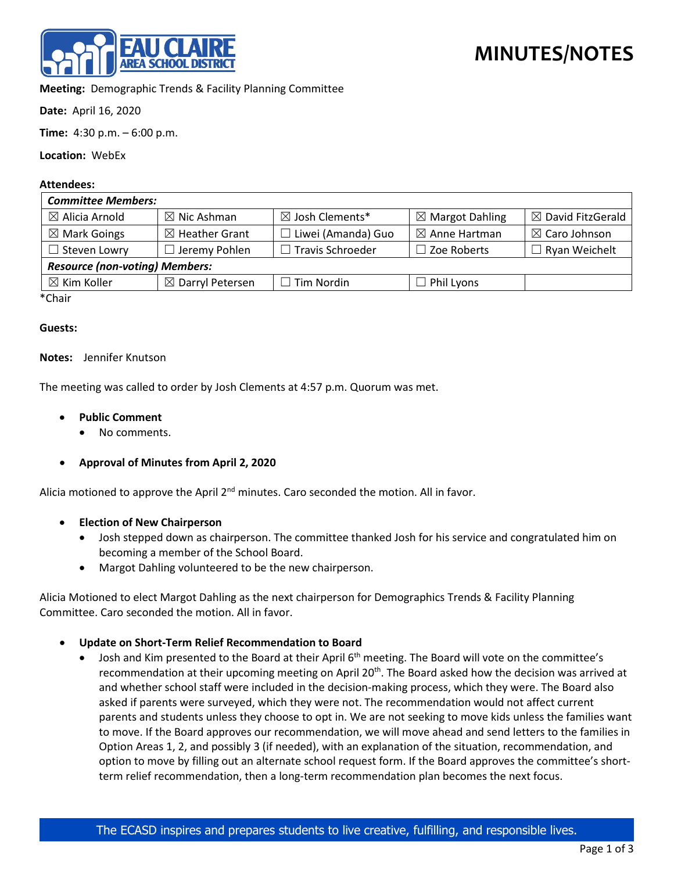

**Meeting:** Demographic Trends & Facility Planning Committee

**Date:** April 16, 2020

**Time:** 4:30 p.m. – 6:00 p.m.

**Location:** WebEx

# **Attendees:**

| <b>Committee Members:</b>             |                             |                            |                            |                              |
|---------------------------------------|-----------------------------|----------------------------|----------------------------|------------------------------|
| $\boxtimes$ Alicia Arnold             | $\boxtimes$ Nic Ashman      | $\boxtimes$ Josh Clements* | $\boxtimes$ Margot Dahling | $\boxtimes$ David FitzGerald |
| $\boxtimes$ Mark Goings               | $\boxtimes$ Heather Grant   | $\Box$ Liwei (Amanda) Guo  | $\boxtimes$ Anne Hartman   | $\boxtimes$ Caro Johnson     |
| $\Box$ Steven Lowry                   | $\Box$ Jeremy Pohlen        | $\Box$ Travis Schroeder    | $\Box$ Zoe Roberts         | $\Box$ Ryan Weichelt         |
| <b>Resource (non-voting) Members:</b> |                             |                            |                            |                              |
| $\boxtimes$ Kim Koller                | $\boxtimes$ Darryl Petersen | $\Box$ Tim Nordin          | $\Box$ Phil Lyons          |                              |
| $*$ Chair                             |                             |                            |                            |                              |

\*Chair

### **Guests:**

### **Notes:** Jennifer Knutson

The meeting was called to order by Josh Clements at 4:57 p.m. Quorum was met.

- **Public Comment**
	- No comments.
- **Approval of Minutes from April 2, 2020**

Alicia motioned to approve the April  $2^{nd}$  minutes. Caro seconded the motion. All in favor.

- **Election of New Chairperson**
	- Josh stepped down as chairperson. The committee thanked Josh for his service and congratulated him on becoming a member of the School Board.
	- Margot Dahling volunteered to be the new chairperson.

Alicia Motioned to elect Margot Dahling as the next chairperson for Demographics Trends & Facility Planning Committee. Caro seconded the motion. All in favor.

# • **Update on Short-Term Relief Recommendation to Board**

Josh and Kim presented to the Board at their April 6<sup>th</sup> meeting. The Board will vote on the committee's recommendation at their upcoming meeting on April 20<sup>th</sup>. The Board asked how the decision was arrived at and whether school staff were included in the decision-making process, which they were. The Board also asked if parents were surveyed, which they were not. The recommendation would not affect current parents and students unless they choose to opt in. We are not seeking to move kids unless the families want to move. If the Board approves our recommendation, we will move ahead and send letters to the families in Option Areas 1, 2, and possibly 3 (if needed), with an explanation of the situation, recommendation, and option to move by filling out an alternate school request form. If the Board approves the committee's shortterm relief recommendation, then a long-term recommendation plan becomes the next focus.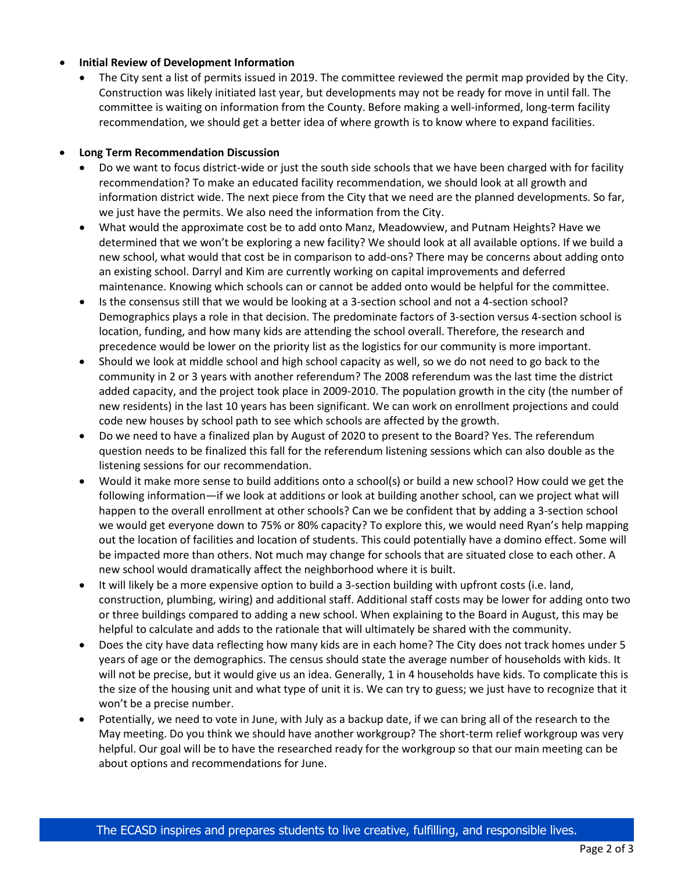# • **Initial Review of Development Information**

• The City sent a list of permits issued in 2019. The committee reviewed the permit map provided by the City. Construction was likely initiated last year, but developments may not be ready for move in until fall. The committee is waiting on information from the County. Before making a well-informed, long-term facility recommendation, we should get a better idea of where growth is to know where to expand facilities.

### • **Long Term Recommendation Discussion**

- Do we want to focus district-wide or just the south side schools that we have been charged with for facility recommendation? To make an educated facility recommendation, we should look at all growth and information district wide. The next piece from the City that we need are the planned developments. So far, we just have the permits. We also need the information from the City.
- What would the approximate cost be to add onto Manz, Meadowview, and Putnam Heights? Have we determined that we won't be exploring a new facility? We should look at all available options. If we build a new school, what would that cost be in comparison to add-ons? There may be concerns about adding onto an existing school. Darryl and Kim are currently working on capital improvements and deferred maintenance. Knowing which schools can or cannot be added onto would be helpful for the committee.
- Is the consensus still that we would be looking at a 3-section school and not a 4-section school? Demographics plays a role in that decision. The predominate factors of 3-section versus 4-section school is location, funding, and how many kids are attending the school overall. Therefore, the research and precedence would be lower on the priority list as the logistics for our community is more important.
- Should we look at middle school and high school capacity as well, so we do not need to go back to the community in 2 or 3 years with another referendum? The 2008 referendum was the last time the district added capacity, and the project took place in 2009-2010. The population growth in the city (the number of new residents) in the last 10 years has been significant. We can work on enrollment projections and could code new houses by school path to see which schools are affected by the growth.
- Do we need to have a finalized plan by August of 2020 to present to the Board? Yes. The referendum question needs to be finalized this fall for the referendum listening sessions which can also double as the listening sessions for our recommendation.
- Would it make more sense to build additions onto a school(s) or build a new school? How could we get the following information—if we look at additions or look at building another school, can we project what will happen to the overall enrollment at other schools? Can we be confident that by adding a 3-section school we would get everyone down to 75% or 80% capacity? To explore this, we would need Ryan's help mapping out the location of facilities and location of students. This could potentially have a domino effect. Some will be impacted more than others. Not much may change for schools that are situated close to each other. A new school would dramatically affect the neighborhood where it is built.
- It will likely be a more expensive option to build a 3-section building with upfront costs (i.e. land, construction, plumbing, wiring) and additional staff. Additional staff costs may be lower for adding onto two or three buildings compared to adding a new school. When explaining to the Board in August, this may be helpful to calculate and adds to the rationale that will ultimately be shared with the community.
- Does the city have data reflecting how many kids are in each home? The City does not track homes under 5 years of age or the demographics. The census should state the average number of households with kids. It will not be precise, but it would give us an idea. Generally, 1 in 4 households have kids. To complicate this is the size of the housing unit and what type of unit it is. We can try to guess; we just have to recognize that it won't be a precise number.
- Potentially, we need to vote in June, with July as a backup date, if we can bring all of the research to the May meeting. Do you think we should have another workgroup? The short-term relief workgroup was very helpful. Our goal will be to have the researched ready for the workgroup so that our main meeting can be about options and recommendations for June.